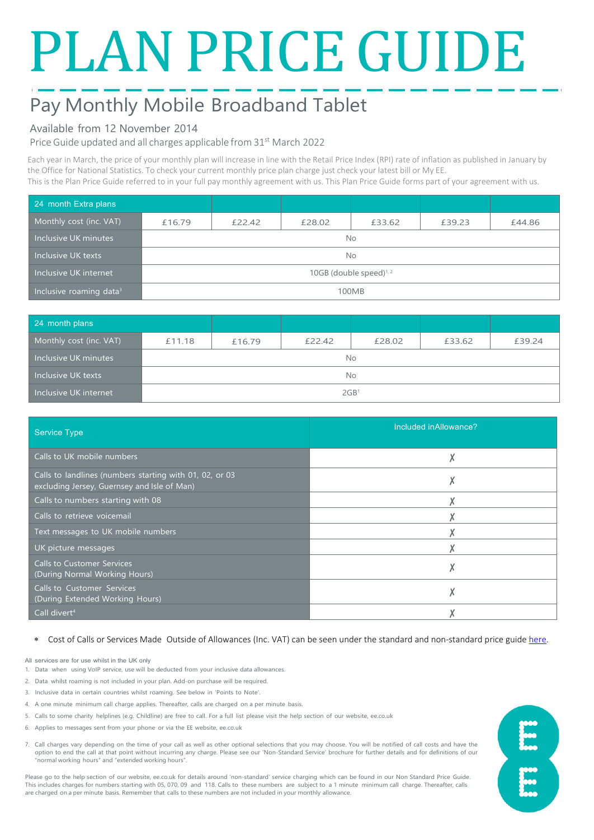# PLAN PRICE GUIDE

# Pay Monthly Mobile Broadband Tablet

# Available from 12 November 2014

Price Guide updated and all charges applicable from 31<sup>st</sup> March 2022

Each year in March, the price of your monthly plan will increase in line with the Retail Price Index (RPI) rate of inflation as published in January by the Office for National Statistics. To check your current monthly price plan charge just check your latest bill or My EE. This is the Plan Price Guide referred to in your full pay monthly agreement with us. This Plan Price Guide forms part of your agreement with us.

| 24 month Extra plans                |                           |        |        |        |        |        |
|-------------------------------------|---------------------------|--------|--------|--------|--------|--------|
| Monthly cost (inc. VAT)             | £16.79                    | £22.42 | £28.02 | £33.62 | £39.23 | £44.86 |
| Inclusive UK minutes                | No.                       |        |        |        |        |        |
| Inclusive UK texts                  | No.                       |        |        |        |        |        |
| Inclusive UK internet               | 10GB (double speed) $1/2$ |        |        |        |        |        |
| Inclusive roaming data <sup>3</sup> | 100MB                     |        |        |        |        |        |

| 24 month plans          |                  |        |        |        |        |        |
|-------------------------|------------------|--------|--------|--------|--------|--------|
| Monthly cost (inc. VAT) | £11.18           | £16.79 | £22.42 | £28.02 | £33.62 | £39.24 |
| Inclusive UK minutes    | No.              |        |        |        |        |        |
| Inclusive UK texts      | No.              |        |        |        |        |        |
| Inclusive UK internet   | 2GB <sup>1</sup> |        |        |        |        |        |

| <b>Service Type</b>                                                                                    | Included in Allowance? |
|--------------------------------------------------------------------------------------------------------|------------------------|
| Calls to UK mobile numbers                                                                             |                        |
| Calls to landlines (numbers starting with 01, 02, or 03<br>excluding Jersey, Guernsey and Isle of Man) |                        |
| Calls to numbers starting with 08                                                                      |                        |
| Calls to retrieve voicemail                                                                            |                        |
| Text messages to UK mobile numbers                                                                     |                        |
| UK picture messages                                                                                    |                        |
| <b>Calls to Customer Services</b><br>(During Normal Working Hours)                                     |                        |
| <b>Calls to Customer Services</b><br>(During Extended Working Hours)                                   |                        |
| Call divert <sup>4</sup>                                                                               |                        |

# ∗ Cost of Calls or Services Made Outside of Allowances (Inc. VAT) can be seen under the standard and non-standard price guide [here.](https://ee.co.uk/help/help-new/price-plans/mobile/pay-monthly-price-plans)

All services are for use whilst in the UK only

- 1. Data when using VoIP service, use will be deducted from your inclusive data allowances.
- 2. Data whilst roaming is not included in your plan. Add-on purchase will be required.
- 3. Inclusive data in certain countries whilst roaming. See below in 'Points to Note'.
- 4. A one minute minimum call charge applies. Thereafter, calls are charged on a per minute basis.
- 5. Calls to some charity helplines (e.g. Childline) are free to call. For a full list please visit the help section of our website, ee.co.uk
- 6. Applies to messages sent from your phone or via the EE website, ee.co.uk
- 7. Call charges vary depending on the time of your call as well as other optional selections that you may choose. You will be notified of call costs and have the option to end the call at that point without incurring any charge. Please see our 'Non-Standard Service' brochure for further details and for definitions of our "normal working hours" and "extended working hours".

Please go to the help section of our website, ee.co.uk for details around 'non-standard' service charging which can be found in our Non Standard Price Guide. This includes charges for numbers starting with 05, 070, 09 and 118. Calls to these numbers are subject to a 1 minute minimum call charge. Thereafter, calls are charged on a per minute basis. Remember that calls to these numbers are not included in your monthly allowance.